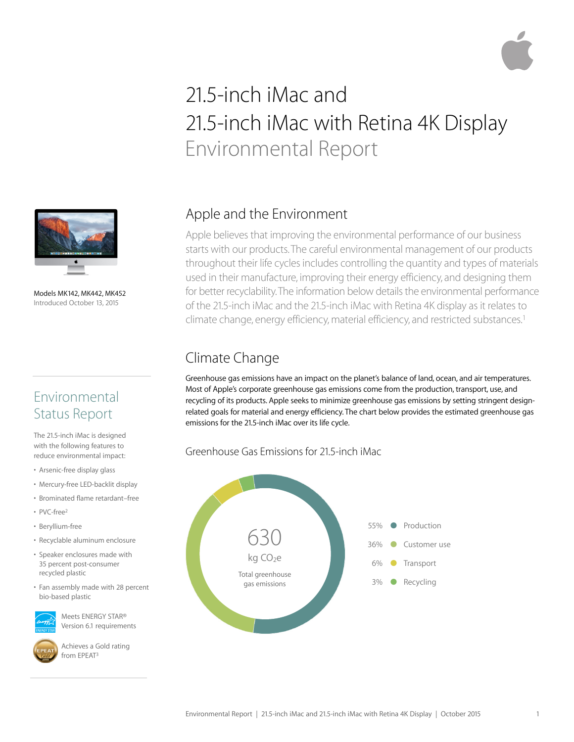# 21.5-inch iMac and 21.5-inch iMac with Retina 4K Display Environmental Report



Models MK142, MK442, MK452 Introduced October 13, 2015

## Environmental Status Report

The 21.5-inch iMac is designed with the following features to reduce environmental impact:

- Arsenic-free display glass
- Mercury-free LED-backlit display
- Brominated flame retardant–free
- PVC-free2
- Beryllium-free
- Recyclable aluminum enclosure
- Speaker enclosures made with 35 percent post-consumer recycled plastic
- Fan assembly made with 28 percent bio-based plastic



Meets ENERGY STAR® Version 6.1 requirements

from EPEAT<sup>3</sup>

Achieves a Gold rating

## Apple and the Environment

Apple believes that improving the environmental performance of our business starts with our products. The careful environmental management of our products throughout their life cycles includes controlling the quantity and types of materials used in their manufacture, improving their energy efficiency, and designing them for better recyclability. The information below details the environmental performance of the 21.5-inch iMac and the 21.5-inch iMac with Retina 4K display as it relates to climate change, energy efficiency, material efficiency, and restricted substances.<sup>1</sup>

## Climate Change

Greenhouse gas emissions have an impact on the planet's balance of land, ocean, and air temperatures. Most of Apple's corporate greenhouse gas emissions come from the production, transport, use, and recycling of its products. Apple seeks to minimize greenhouse gas emissions by setting stringent designrelated goals for material and energy efficiency. The chart below provides the estimated greenhouse gas emissions for the 21.5-inch iMac over its life cycle.

#### Greenhouse Gas Emissions for 21.5-inch iMac

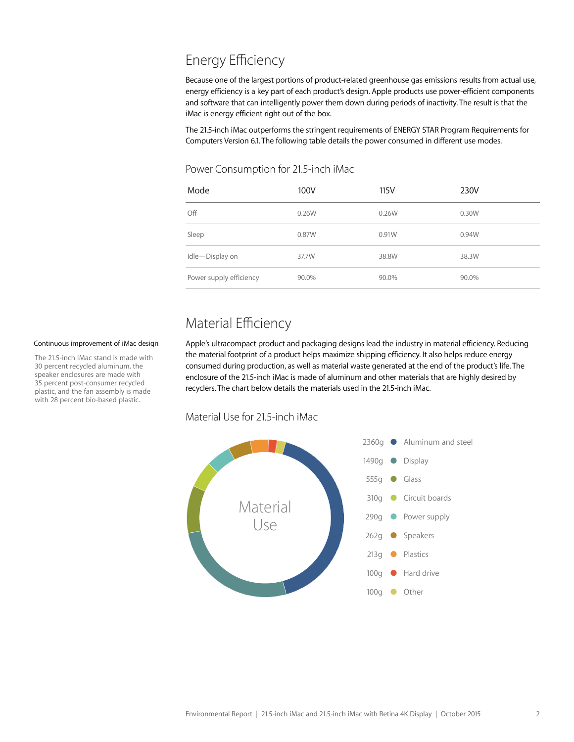## Energy Efficiency

Because one of the largest portions of product-related greenhouse gas emissions results from actual use, energy efficiency is a key part of each product's design. Apple products use power-efficient components and software that can intelligently power them down during periods of inactivity. The result is that the iMac is energy efficient right out of the box.

The 21.5-inch iMac outperforms the stringent requirements of ENERGY STAR Program Requirements for Computers Version 6.1. The following table details the power consumed in different use modes.

#### Power Consumption for 21.5-inch iMac

| Mode                    | 100V  | 115V  | 230V  |
|-------------------------|-------|-------|-------|
| Off                     | 0.26W | 0.26W | 0.30W |
| Sleep                   | 0.87W | 0.91W | 0.94W |
| Idle-Display on         | 37.7W | 38.8W | 38.3W |
| Power supply efficiency | 90.0% | 90.0% | 90.0% |

### Material Efficiency

Apple's ultracompact product and packaging designs lead the industry in material efficiency. Reducing the material footprint of a product helps maximize shipping efficiency. It also helps reduce energy consumed during production, as well as material waste generated at the end of the product's life. The enclosure of the 21.5-inch iMac is made of aluminum and other materials that are highly desired by recyclers. The chart below details the materials used in the 21.5-inch iMac.

#### Material Use for 21.5-inch iMac



#### Continuous improvement of iMac design

The 21.5-inch iMac stand is made with 30 percent recycled aluminum, the speaker enclosures are made with 35 percent post-consumer recycled plastic, and the fan assembly is made with 28 percent bio-based plastic.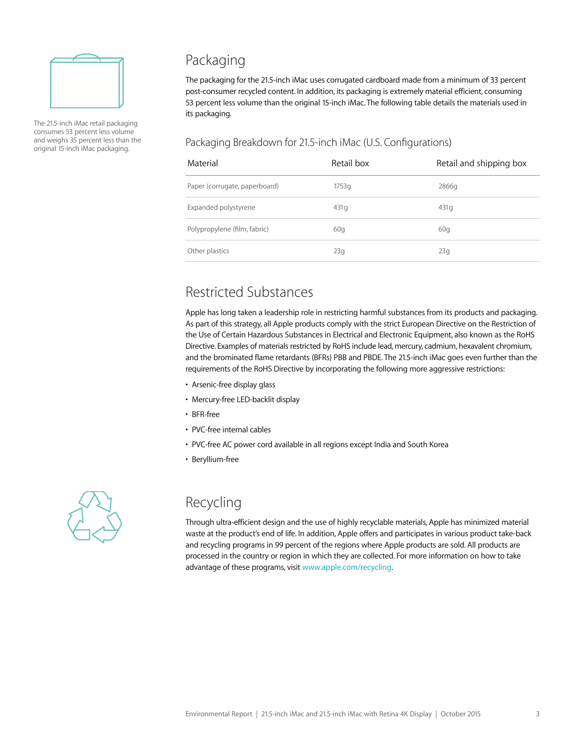

The 21.5-inch iMac retail packaging consumes 53 percent less volume and weighs 35 percent less than the original 15-inch iMac packaging.

### Packaging

The packaging for the 21.5-inch iMac uses corrugated cardboard made from a minimum of 33 percent post-consumer recycled content. In addition, its packaging is extremely material efficient, consuming 53 percent less volume than the original 15-inch iMac. The following table details the materials used in its packaging.

#### Packaging Breakdown for 21.5-inch iMac (U.S. Configurations)

| Material                      | Retail box | Retail and shipping box |
|-------------------------------|------------|-------------------------|
| Paper (corrugate, paperboard) | 1753q      | 2866g                   |
| Expanded polystyrene          | 431q       | 431q                    |
| Polypropylene (film, fabric)  | 60q        | 60g                     |
| Other plastics                | 23q        | 23q                     |

## Restricted Substances

Apple has long taken a leadership role in restricting harmful substances from its products and packaging. As part of this strategy, all Apple products comply with the strict European Directive on the Restriction of the Use of Certain Hazardous Substances in Electrical and Electronic Equipment, also known as the RoHS Directive. Examples of materials restricted by RoHS include lead, mercury, cadmium, hexavalent chromium, and the brominated flame retardants (BFRs) PBB and PBDE. The 21.5-inch iMac goes even further than the requirements of the RoHS Directive by incorporating the following more aggressive restrictions:

- Arsenic-free display glass
- Mercury-free LED-backlit display
- BFR-free
- PVC-free internal cables
- PVC-free AC power cord available in all regions except India and South Korea
- Beryllium-free



#### Recycling

Through ultra-efficient design and the use of highly recyclable materials, Apple has minimized material waste at the product's end of life. In addition, Apple offers and participates in various product take-back and recycling programs in 99 percent of the regions where Apple products are sold. All products are processed in the country or region in which they are collected. For more information on how to take advantage of these programs, visit www.apple.com/recycling.